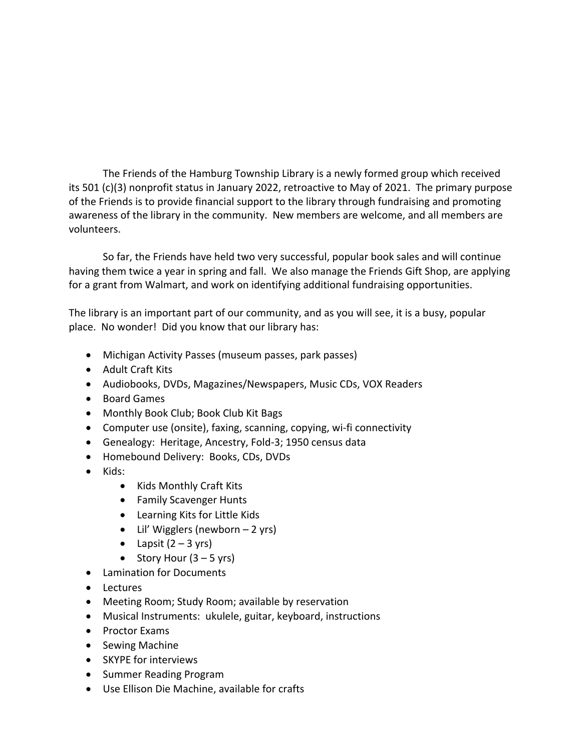The Friends of the Hamburg Township Library is a newly formed group which received its 501 (c)(3) nonprofit status in January 2022, retroactive to May of 2021. The primary purpose of the Friends is to provide financial support to the library through fundraising and promoting awareness of the library in the community. New members are welcome, and all members are volunteers.

So far, the Friends have held two very successful, popular book sales and will continue having them twice a year in spring and fall. We also manage the Friends Gift Shop, are applying for a grant from Walmart, and work on identifying additional fundraising opportunities.

The library is an important part of our community, and as you will see, it is a busy, popular place. No wonder! Did you know that our library has:

- Michigan Activity Passes (museum passes, park passes)
- Adult Craft Kits
- Audiobooks, DVDs, Magazines/Newspapers, Music CDs, VOX Readers
- Board Games
- Monthly Book Club; Book Club Kit Bags
- Computer use (onsite), faxing, scanning, copying, wi-fi connectivity
- Genealogy: Heritage, Ancestry, Fold-3; 1950 census data
- Homebound Delivery: Books, CDs, DVDs
- Kids:
	- Kids Monthly Craft Kits
	- Family Scavenger Hunts
	- Learning Kits for Little Kids
	- Lil' Wigglers (newborn  $-2$  yrs)
	- Lapsit  $(2 3 \text{ yrs})$
	- Story Hour  $(3 5$  yrs)
- Lamination for Documents
- Lectures
- Meeting Room; Study Room; available by reservation
- Musical Instruments: ukulele, guitar, keyboard, instructions
- Proctor Exams
- Sewing Machine
- SKYPE for interviews
- Summer Reading Program
- Use Ellison Die Machine, available for crafts